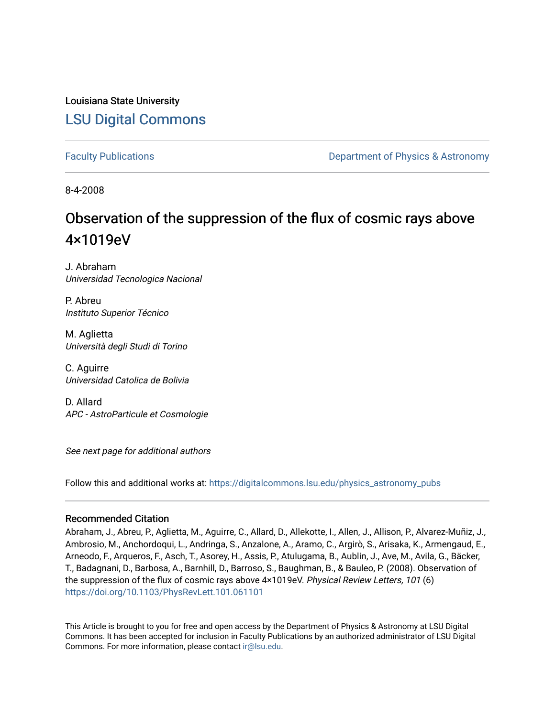## Louisiana State University [LSU Digital Commons](https://digitalcommons.lsu.edu/)

[Faculty Publications](https://digitalcommons.lsu.edu/physics_astronomy_pubs) **Example 2** Constant Department of Physics & Astronomy

8-4-2008

# Observation of the suppression of the flux of cosmic rays above 4×1019eV

J. Abraham Universidad Tecnologica Nacional

P. Abreu Instituto Superior Técnico

M. Aglietta Università degli Studi di Torino

C. Aguirre Universidad Catolica de Bolivia

D. Allard APC - AstroParticule et Cosmologie

See next page for additional authors

Follow this and additional works at: [https://digitalcommons.lsu.edu/physics\\_astronomy\\_pubs](https://digitalcommons.lsu.edu/physics_astronomy_pubs?utm_source=digitalcommons.lsu.edu%2Fphysics_astronomy_pubs%2F3290&utm_medium=PDF&utm_campaign=PDFCoverPages) 

#### Recommended Citation

Abraham, J., Abreu, P., Aglietta, M., Aguirre, C., Allard, D., Allekotte, I., Allen, J., Allison, P., Alvarez-Muñiz, J., Ambrosio, M., Anchordoqui, L., Andringa, S., Anzalone, A., Aramo, C., Argirò, S., Arisaka, K., Armengaud, E., Arneodo, F., Arqueros, F., Asch, T., Asorey, H., Assis, P., Atulugama, B., Aublin, J., Ave, M., Avila, G., Bäcker, T., Badagnani, D., Barbosa, A., Barnhill, D., Barroso, S., Baughman, B., & Bauleo, P. (2008). Observation of the suppression of the flux of cosmic rays above 4×1019eV. Physical Review Letters, 101 (6) <https://doi.org/10.1103/PhysRevLett.101.061101>

This Article is brought to you for free and open access by the Department of Physics & Astronomy at LSU Digital Commons. It has been accepted for inclusion in Faculty Publications by an authorized administrator of LSU Digital Commons. For more information, please contact [ir@lsu.edu](mailto:ir@lsu.edu).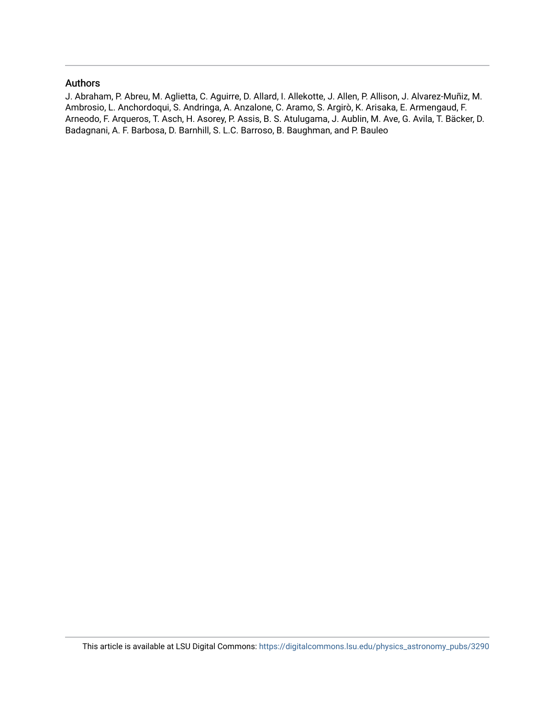#### Authors

J. Abraham, P. Abreu, M. Aglietta, C. Aguirre, D. Allard, I. Allekotte, J. Allen, P. Allison, J. Alvarez-Muñiz, M. Ambrosio, L. Anchordoqui, S. Andringa, A. Anzalone, C. Aramo, S. Argirò, K. Arisaka, E. Armengaud, F. Arneodo, F. Arqueros, T. Asch, H. Asorey, P. Assis, B. S. Atulugama, J. Aublin, M. Ave, G. Avila, T. Bäcker, D. Badagnani, A. F. Barbosa, D. Barnhill, S. L.C. Barroso, B. Baughman, and P. Bauleo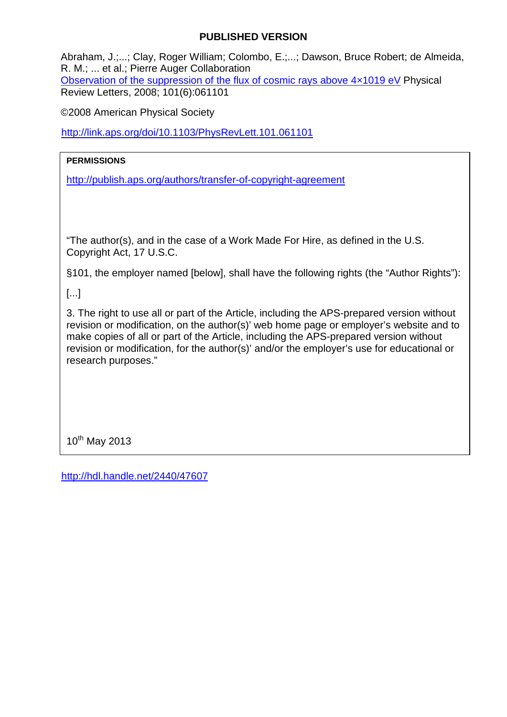## **PUBLISHED VERSION**

Abraham, J.;...; Clay, Roger William; Colombo, E.;...; Dawson, Bruce Robert; de Almeida, R. M.; ... et al.; Pierre Auger Collaboration [Observation of the suppression of the flux of cosmic rays above 4×1019 eV](http://hdl.handle.net/2440/47607) Physical Review Letters, 2008; 101(6):061101

©2008 American Physical Society

<http://link.aps.org/doi/10.1103/PhysRevLett.101.061101>

### **PERMISSIONS**

<http://publish.aps.org/authors/transfer-of-copyright-agreement>

"The author(s), and in the case of a Work Made For Hire, as defined in the U.S. Copyright Act, 17 U.S.C.

§101, the employer named [below], shall have the following rights (the "Author Rights"):

[...]

3. The right to use all or part of the Article, including the APS-prepared version without revision or modification, on the author(s)' web home page or employer's website and to make copies of all or part of the Article, including the APS-prepared version without revision or modification, for the author(s)' and/or the employer's use for educational or research purposes."

 $10^{th}$  May 2013

<http://hdl.handle.net/2440/47607>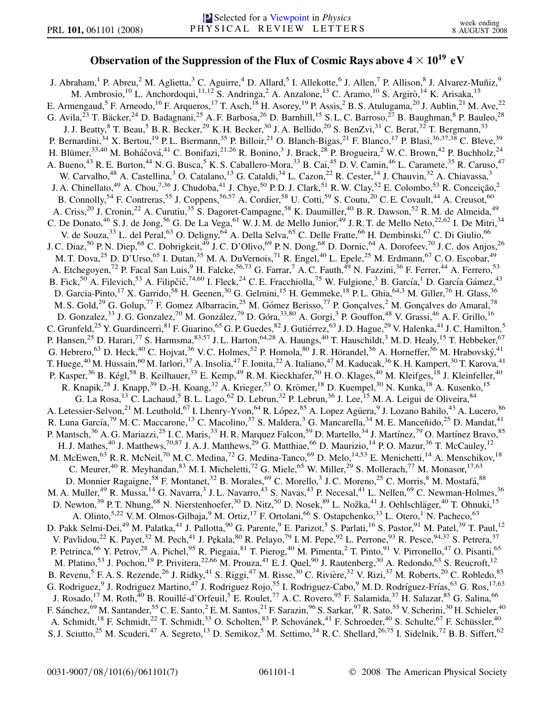#### **Observation of the Suppression of the Flux of Cosmic Rays above**  $4 \times 10^{19}$  **eV**

J. Abraham,<sup>1</sup> P. Abreu,<sup>2</sup> M. Aglietta,<sup>3</sup> C. Aguirre,<sup>4</sup> D. Allard,<sup>5</sup> I. Allekotte,<sup>6</sup> J. Allen,<sup>7</sup> P. Allison,<sup>8</sup> J. Alvarez-Muñiz,<sup>9</sup> M. Ambrosio,<sup>10</sup> L. Anchordoqui,<sup>11,12</sup> S. Andringa,<sup>2</sup> A. Anzalone,<sup>13</sup> C. Aramo,<sup>10</sup> S. Argirò,<sup>14</sup> K. Arisaka,<sup>15</sup> E. Armengaud,<sup>5</sup> F. Arneodo,<sup>16</sup> F. Arqueros,<sup>17</sup> T. Asch,<sup>18</sup> H. Asorey,<sup>19</sup> P. Assis,<sup>2</sup> B. S. Atulugama,<sup>20</sup> J. Aublin,<sup>21</sup> M. Ave,<sup>22</sup> G. Avila,<sup>23</sup> T. Bäcker,<sup>24</sup> D. Badagnani,<sup>25</sup> A. F. Barbosa,<sup>26</sup> D. Barnhill,<sup>15</sup> S. L. C. Barroso,<sup>27</sup> B. Baughman,<sup>8</sup> P. Bauleo,<sup>28</sup> J. J. Beatty, <sup>8</sup> T. Beau, <sup>5</sup> B. R. Becker, <sup>29</sup> K. H. Becker, <sup>30</sup> J. A. Bellido, <sup>20</sup> S. BenZvi, <sup>31</sup> C. Berat, <sup>32</sup> T. Bergmann, <sup>33</sup> P. Bernardini,  $34$  X. Bertou,  $19$  P. L. Biermann,  $35$  P. Billoir,  $21$  O. Blanch-Bigas,  $21$  F. Blanco,  $17$  P. Blasi,  $36,37,38$  C. Bleve,  $39$ H. Blümer,<sup>33,40</sup> M. Boháčová,<sup>41</sup> C. Bonifazi,<sup>21,26</sup> R. Bonino,<sup>3</sup> J. Brack,<sup>28</sup> P. Brogueira,<sup>2</sup> W. C. Brown,<sup>42</sup> P. Buchholz,<sup>24</sup> A. Bueno,<sup>43</sup> R. E. Burton,<sup>44</sup> N. G. Busca,<sup>5</sup> K. S. Caballero-Mora,<sup>33</sup> B. Cai,<sup>45</sup> D. V. Camin,<sup>46</sup> L. Caramete,<sup>35</sup> R. Caruso,<sup>47</sup> W. Carvalho,<sup>48</sup> A. Castellina,<sup>3</sup> O. Catalano,<sup>13</sup> G. Cataldi,<sup>34</sup> L. Cazon,<sup>22</sup> R. Cester,<sup>14</sup> J. Chauvin,<sup>32</sup> A. Chiavassa,<sup>3</sup> J. A. Chinellato,<sup>49</sup> A. Chou,<sup>7,36</sup> J. Chudoba,<sup>41</sup> J. Chye,<sup>50</sup> P.D. J. Clark,<sup>51</sup> R. W. Clay,<sup>52</sup> E. Colombo,<sup>53</sup> R. Conceição,<sup>2</sup> B. Connolly,<sup>54</sup> F. Contreras,<sup>55</sup> J. Coppens,<sup>56,57</sup> A. Cordier,<sup>58</sup> U. Cotti,<sup>59</sup> S. Coutu,<sup>20</sup> C. E. Covault,<sup>44</sup> A. Creusot,<sup>60</sup> A. Criss,<sup>20</sup> J. Cronin,<sup>22</sup> A. Curutiu,<sup>35</sup> S. Dagoret-Campagne,<sup>58</sup> K. Daumiller,<sup>40</sup> B. R. Dawson,<sup>52</sup> R. M. de Almeida,<sup>49</sup> C. De Donato,  $^{46}$  S. J. de Jong,  $^{56}$  G. De La Vega,  $^{61}$  W. J. M. de Mello Junior,  $^{49}$  J. R. T. de Mello Neto,  $^{22,62}$  I. De Mitri,  $^{34}$ V. de Souza,<sup>33</sup> L. del Peral,<sup>63</sup> O. Deligny,<sup>64</sup> A. Della Selva,<sup>65</sup> C. Delle Fratte,<sup>66</sup> H. Dembinski,<sup>67</sup> C. Di Giulio,<sup>66</sup> J. C. Diaz,<sup>50</sup> P. N. Diep,<sup>68</sup> C. Dobrigkeit,<sup>49</sup> J. C. D'Olivo,<sup>69</sup> P. N. Dong,<sup>68</sup> D. Dornic,<sup>64</sup> A. Dorofeev,<sup>70</sup> J. C. dos Anjos,<sup>26</sup> M. T. Dova,<sup>25</sup> D. D'Urso,<sup>65</sup> I. Dutan,<sup>35</sup> M. A. DuVernois,<sup>71</sup> R. Engel,<sup>40</sup> L. Epele,<sup>25</sup> M. Erdmann,<sup>67</sup> C. O. Escobar,<sup>49</sup> A. Etchegoyen,<sup>72</sup> P. Facal San Luis,<sup>9</sup> H. Falcke,<sup>56,73</sup> G. Farrar,<sup>7</sup> A.C. Fauth,<sup>49</sup> N. Fazzini,<sup>36</sup> F. Ferrer,<sup>44</sup> A. Ferrero,<sup>53</sup> B. Fick,  $^{50}$  A. Filevich,  $^{53}$  A. Filipčič,  $^{74,60}$  I. Fleck,  $^{24}$  C.E. Fracchiolla,  $^{75}$  W. Fulgione,  $^{3}$  B. García,  $^{1}$  D. García Gámez,  $^{43}$ D. Garcia-Pinto,<sup>17</sup> X. Garrido,<sup>58</sup> H. Geenen,<sup>30</sup> G. Gelmini,<sup>15</sup> H. Gemmeke,<sup>18</sup> P.L. Ghia,<sup>64,3</sup> M. Giller,<sup>76</sup> H. Glass,<sup>36</sup> M. S. Gold,<sup>29</sup> G. Golup,<sup>77</sup> F. Gomez Albarracin,<sup>25</sup> M. Gómez Berisso,<sup>77</sup> P. Gonçalves,<sup>2</sup> M. Gonçalves do Amaral,<sup>78</sup> D. Gonzalez,<sup>33</sup> J. G. Gonzalez,<sup>70</sup> M. González,<sup>79</sup> D. Góra,<sup>33,80</sup> A. Gorgi,<sup>3</sup> P. Gouffon,<sup>48</sup> V. Grassi,<sup>46</sup> A. F. Grillo,<sup>16</sup> C. Grunfeld,<sup>25</sup> Y. Guardincerri,<sup>81</sup> F. Guarino,<sup>65</sup> G. P. Guedes,<sup>82</sup> J. Gutiérrez,<sup>63</sup> J. D. Hague,<sup>29</sup> V. Halenka,<sup>41</sup> J. C. Hamilton,<sup>5</sup> P. Hansen,<sup>25</sup> D. Harari,<sup>77</sup> S. Harmsma,  $83,57$  J. L. Harton,  $64,28$  A. Haungs,  $40$  T. Hauschildt,  $3$  M. D. Healy,  $15$  T. Hebbeker,  $67$ G. Hebrero, <sup>63</sup> D. Heck, <sup>40</sup> C. Hojvat, <sup>36</sup> V. C. Holmes, <sup>52</sup> P. Homola, <sup>80</sup> J. R. Hörandel, <sup>56</sup> A. Horneffer, <sup>56</sup> M. Hrabovský, <sup>41</sup> T. Huege,<sup>40</sup> M. Hussain,<sup>60</sup> M. Iarlori,<sup>37</sup> A. Insolia,<sup>47</sup> F. Ionita,<sup>22</sup> A. Italiano,<sup>47</sup> M. Kaducak,<sup>36</sup> K. H. Kampert,<sup>30</sup> T. Karova,<sup>41</sup> P. Kasper,<sup>36</sup> B. Kégl,<sup>58</sup> B. Keilhauer,<sup>33</sup> E. Kemp,<sup>49</sup> R. M. Kieckhafer,<sup>50</sup> H. O. Klages,<sup>40</sup> M. Kleifges,<sup>18</sup> J. Kleinfeller,<sup>40</sup> R. Knapik,<sup>28</sup> J. Knapp,<sup>39</sup> D.-H. Koang,<sup>32</sup> A. Krieger,<sup>53</sup> O. Krömer,<sup>18</sup> D. Kuempel,<sup>30</sup> N. Kunka,<sup>18</sup> A. Kusenko,<sup>15</sup> G. La Rosa,<sup>13</sup> C. Lachaud,<sup>5</sup> B. L. Lago,<sup>62</sup> D. Lebrun,<sup>32</sup> P. Lebrun,<sup>36</sup> J. Lee,<sup>15</sup> M. A. Leigui de Oliveira,<sup>84</sup> A. Letessier-Selvon,<sup>21</sup> M. Leuthold,<sup>67</sup> I. Lhenry-Yvon,<sup>64</sup> R. López,<sup>85</sup> A. Lopez Agüera,<sup>9</sup> J. Lozano Bahilo,<sup>43</sup> A. Lucero,<sup>86</sup> R. Luna García,<sup>79</sup> M. C. Maccarone,<sup>13</sup> C. Macolino,<sup>37</sup> S. Maldera,<sup>3</sup> G. Mancarella,<sup>34</sup> M. E. Manceñido,<sup>25</sup> D. Mandat,<sup>41</sup> P. Mantsch,<sup>36</sup> A. G. Mariazzi,<sup>25</sup> I. C. Maris,<sup>33</sup> H. R. Marquez Falcon,<sup>59</sup> D. Martello,<sup>34</sup> J. Martínez,<sup>79</sup> O. Martínez Bravo,<sup>85</sup> H. J. Mathes,<sup>40</sup> J. Matthews,<sup>70,87</sup> J. A. J. Matthews,<sup>29</sup> G. Matthiae,<sup>66</sup> D. Maurizio,<sup>14</sup> P. O. Mazur,<sup>36</sup> T. McCauley,<sup>12</sup> M. McEwen,<sup>63</sup> R. R. McNeil,<sup>70</sup> M. C. Medina,<sup>72</sup> G. Medina-Tanco,<sup>69</sup> D. Melo,<sup>14,53</sup> E. Menichetti,<sup>14</sup> A. Menschikov,<sup>18</sup> C. Meurer,<sup>40</sup> R. Meyhandan,<sup>83</sup> M. I. Micheletti,<sup>72</sup> G. Miele,<sup>65</sup> W. Miller,<sup>29</sup> S. Mollerach,<sup>77</sup> M. Monasor,<sup>17,63</sup> D. Monnier Ragaigne,<sup>58</sup> F. Montanet,<sup>32</sup> B. Morales,<sup>69</sup> C. Morello,<sup>3</sup> J.C. Moreno,<sup>25</sup> C. Morris,<sup>8</sup> M. Mostafá,<sup>88</sup> M. A. Muller,<sup>49</sup> R. Mussa,<sup>14</sup> G. Navarra,<sup>3</sup> J. L. Navarro,<sup>43</sup> S. Navas,<sup>43</sup> P. Necesal,<sup>41</sup> L. Nellen,<sup>69</sup> C. Newman-Holmes,<sup>36</sup> D. Newton,<sup>39</sup> P. T. Nhung,<sup>68</sup> N. Nierstenhoefer,<sup>30</sup> D. Nitz,<sup>50</sup> D. Nosek,<sup>89</sup> L. Nožka,<sup>41</sup> J. Oehlschläger,<sup>40</sup> T. Ohnuki,<sup>15</sup> A. Olinto,<sup>5,22</sup> V. M. Olmos-Gilbaja,<sup>9</sup> M. Ortiz,<sup>17</sup> F. Ortolani,<sup>66</sup> S. Ostapchenko,<sup>33</sup> L. Otero,<sup>1</sup> N. Pacheco,<sup>63</sup> D. Pakk Selmi-Dei,<sup>49</sup> M. Palatka,<sup>41</sup> J. Pallotta,<sup>90</sup> G. Parente,<sup>9</sup> E. Parizot,<sup>5</sup> S. Parlati,<sup>16</sup> S. Pastor,<sup>91</sup> M. Patel,<sup>39</sup> T. Paul,<sup>12</sup> V. Pavlidou,<sup>22</sup> K. Payet,<sup>32</sup> M. Pech,<sup>41</sup> J. Pękala,<sup>80</sup> R. Pelayo,<sup>79</sup> I. M. Pepe,<sup>92</sup> L. Perrone,<sup>93</sup> R. Pesce,<sup>94,37</sup> S. Petrera,<sup>37</sup> P. Petrinca,<sup>66</sup> Y. Petrov,<sup>28</sup> A. Pichel,<sup>95</sup> R. Piegaia,<sup>81</sup> T. Pierog,<sup>40</sup> M. Pimenta,<sup>2</sup> T. Pinto,<sup>91</sup> V. Pirronello,<sup>47</sup> O. Pisanti,<sup>65</sup> M. Platino,<sup>53</sup> J. Pochon,<sup>19</sup> P. Privitera,<sup>22,66</sup> M. Prouza,<sup>41</sup> E. J. Quel,<sup>90</sup> J. Rautenberg,<sup>30</sup> A. Redondo,<sup>63</sup> S. Reucroft,<sup>12</sup> B. Revenu,<sup>5</sup> F. A. S. Rezende,<sup>26</sup> J. Ridky,<sup>41</sup> S. Riggi,<sup>47</sup> M. Risse,<sup>30</sup> C. Rivière,<sup>32</sup> V. Rizi,<sup>37</sup> M. Roberts,<sup>20</sup> C. Robledo,<sup>85</sup> G. Rodriguez, <sup>9</sup> J. Rodriguez Martino, <sup>47</sup> J. Rodriguez Rojo, <sup>55</sup> I. Rodriguez-Cabo, <sup>9</sup> M. D. Rodríguez-Frías, <sup>63</sup> G. Ros, <sup>17,63</sup> J. Rosado,<sup>17</sup> M. Roth,<sup>40</sup> B. Rouillé-d'Orfeuil,<sup>5</sup> E. Roulet,<sup>77</sup> A. C. Rovero,<sup>95</sup> F. Salamida,<sup>37</sup> H. Salazar,<sup>85</sup> G. Salina,<sup>66</sup> F. Sánchez,<sup>69</sup> M. Santander,<sup>55</sup> C. E. Santo,<sup>2</sup> E. M. Santos,<sup>21</sup> F. Sarazin,<sup>96</sup> S. Sarkar,<sup>97</sup> R. Sato,<sup>55</sup> V. Scherini,<sup>30</sup> H. Schieler,<sup>40</sup> A. Schmidt,<sup>18</sup> F. Schmidt,<sup>22</sup> T. Schmidt,<sup>33</sup> O. Scholten,<sup>83</sup> P. Schovánek,<sup>41</sup> F. Schroeder,<sup>40</sup> S. Schulte,<sup>67</sup> F. Schüssler,<sup>40</sup> S. J. Sciutto,<sup>25</sup> M. Scuderi,<sup>47</sup> A. Segreto,<sup>13</sup> D. Semikoz,<sup>5</sup> M. Settimo,<sup>34</sup> R. C. Shellard,<sup>26,75</sup> I. Sidelnik,<sup>72</sup> B. B. Siffert,<sup>62</sup>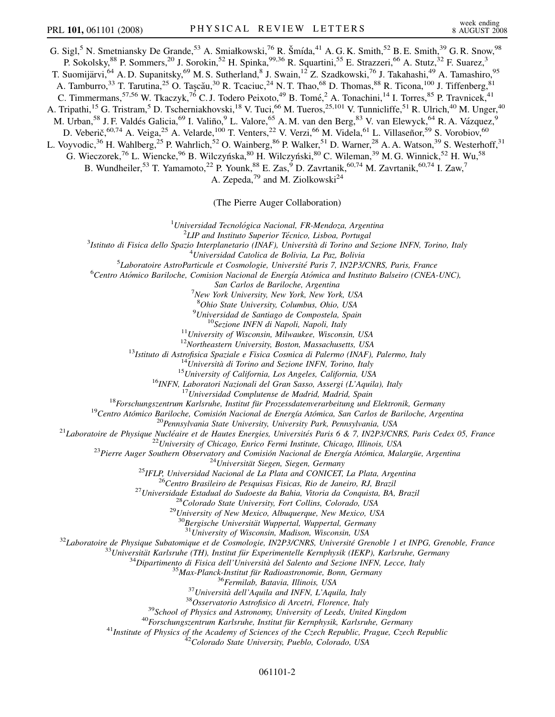G. Sigl,<sup>5</sup> N. Smetniansky De Grande,<sup>53</sup> A. Smiałkowski,<sup>76</sup> R. Šmída,<sup>41</sup> A. G. K. Smith,<sup>52</sup> B. E. Smith,<sup>39</sup> G. R. Snow,<sup>98</sup> P. Sokolsky,<sup>88</sup> P. Sommers,<sup>20</sup> J. Sorokin,<sup>52</sup> H. Spinka,<sup>99,36</sup> R. Squartini,<sup>55</sup> E. Strazzeri,<sup>66</sup> A. Stutz,<sup>32</sup> F. Suarez,<sup>3</sup> T. Suomijärvi,<sup>64</sup> A. D. Supanitsky,<sup>69</sup> M. S. Sutherland,<sup>8</sup> J. Swain,<sup>12</sup> Z. Szadkowski,<sup>76</sup> J. Takahashi,<sup>49</sup> A. Tamashiro,<sup>95</sup> A. Tamburro,<sup>33</sup> T. Tarutina,<sup>25</sup> O. Taşcău,<sup>30</sup> R. Tcaciuc,<sup>24</sup> N. T. Thao,<sup>68</sup> D. Thomas,<sup>88</sup> R. Ticona,<sup>100</sup> J. Tiffenberg,<sup>81</sup> C. Timmermans, <sup>57,56</sup> W. Tkaczyk, <sup>76</sup> C. J. Todero Peixoto, <sup>49</sup> B. Tomé, <sup>2</sup> A. Tonachini, <sup>14</sup> I. Torres, <sup>85</sup> P. Travnicek, <sup>41</sup> A. Tripathi,<sup>15</sup> G. Tristram,<sup>5</sup> D. Tscherniakhovski,<sup>18</sup> V. Tuci,<sup>66</sup> M. Tueros,<sup>25,101</sup> V. Tunnicliffe,<sup>51</sup> R. Ulrich,<sup>40</sup> M. Unger,<sup>40</sup> M. Urban,<sup>58</sup> J. F. Valdés Galicia,<sup>69</sup> I. Valiño,<sup>9</sup> L. Valore,<sup>65</sup> A. M. van den Berg,<sup>83</sup> V. van Elewyck,<sup>64</sup> R. A. Vázquez,<sup>9</sup> D. Veberič, <sup>60,74</sup> A. Veiga, <sup>25</sup> A. Velarde, <sup>100</sup> T. Venters, <sup>22</sup> V. Verzi, <sup>66</sup> M. Videla, <sup>61</sup> L. Villaseñor, <sup>59</sup> S. Vorobiov, <sup>60</sup> L. Voyvodic,<sup>36</sup> H. Wahlberg,<sup>25</sup> P. Wahrlich,<sup>52</sup> O. Wainberg,<sup>86</sup> P. Walker,<sup>51</sup> D. Warner,<sup>28</sup> A. A. Watson,<sup>39</sup> S. Westerhoff,<sup>31</sup> G. Wieczorek,<sup>76</sup> L. Wiencke,<sup>96</sup> B. Wilczyńska,<sup>80</sup> H. Wilczyński,<sup>80</sup> C. Wileman,<sup>39</sup> M. G. Winnick,<sup>52</sup> H. Wu,<sup>58</sup> B. Wundheiler,<sup>53</sup> T. Yamamoto,<sup>22</sup> P. Younk,<sup>88</sup> E. Zas,<sup>9</sup> D. Zavrtanik,<sup>60,74</sup> M. Zavrtanik,<sup>60,74</sup> I. Zaw,<sup>7</sup> A. Zepeda, $^{79}$  and M. Ziolkowski $^{24}$ 

(The Pierre Auger Collaboration)

<sup>1</sup> Universidad Tecnológica Nacional, FR-Mendoza, Argentina<sup>2</sup> *LIP* and Institute Superior Técnico, Lisboa, Portugal

<sup>2</sup>LIP and Instituto Superior Técnico, Lisboa, Portugal<br><sup>3</sup>Istitute di Fisica delle Spazie Interplanetario (IMAE), Università di Terino and

*Istituto di Fisica dello Spazio Interplanetario (INAF), Universita` di Torino and Sezione INFN, Torino, Italy* <sup>4</sup>

*Universidad Catolica de Bolivia, La Paz, Bolivia* <sup>5</sup>

*Laboratoire AstroParticule et Cosmologie, Universite´ Paris 7, IN2P3/CNRS, Paris, France* <sup>6</sup>

*Centro Ato´mico Bariloche, Comision Nacional de Energı´a Ato´mica and Instituto Balseiro (CNEA-UNC),*

*San Carlos de Bariloche, Argentina* <sup>7</sup>

*New York University, New York, New York, USA*

<sup>8</sup>Ohio State University, Columbus, Ohio, USA

<sup>9</sup> Universidad de Santiago de Compostela, Spain

<sup>9</sup>Universidad de Santiago de Compostela, Spain<br>
<sup>10</sup>Secione INFN di Napoli, Napoli, Italy<br>
<sup>11</sup>University of Wisconsin, Milwaukee, Wisconsin, USA<br>
<sup>12</sup>Istituto di Astrofisica Spaziale e Fisica Cosmica di Palermo (INAF),

 $\begin{array}{r} \begin{array}{c} \begin{array}{c} \begin{array}{c} \begin{array}{c} \begin{array}{c} \begin{array}{c} \begin{array}{c} \begin{array}{c} \begin{array}{c} \begin{array}{c} \begin{array}{c} \begin{array}{c} \end{array}{\end{array}} \end{array} & \begin{array}{c} \begin{array}{c} \end{array}{\end{array}} \end{array} & \begin{array}{c} \end{array} & \begin{array}{c} \end{array} & \begin{array}{c} \end{array} & \end{array} & \begin{array}{c} \end{array} & \begin{array}{c} \text{M}{\end{array} & \text{M}{\end$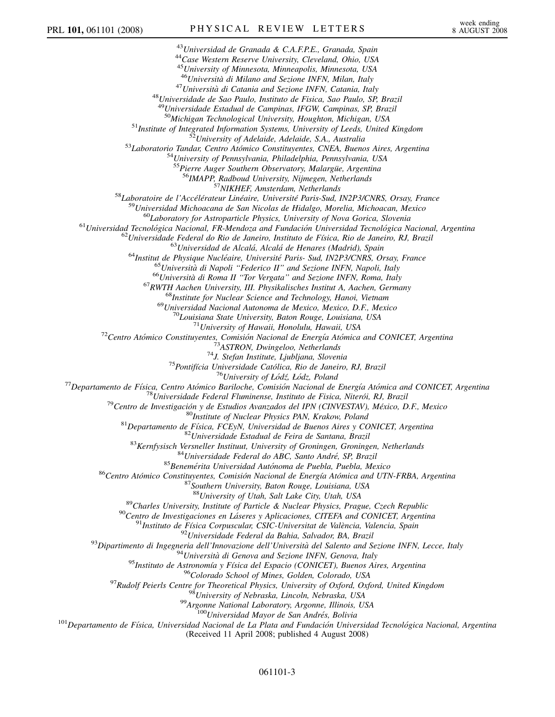<sup>43</sup>*Universidad de Granada & C.A.F.P.E., Granada, Spain* <sup>44</sup>*Case Western Reserve University, Cleveland, Ohio, USA* <sup>45</sup>*University of Minnesota, Minneapolis, Minnesota, USA* <sup>46</sup>*Universita` di Milano and Sezione INFN, Milan, Italy* <sup>47</sup>*Universita` di Catania and Sezione INFN, Catania, Italy* <sup>48</sup>*Universidade de Sao Paulo, Instituto de Fisica, Sao Paulo, SP, Brazil* <sup>49</sup>*Universidade Estadual de Campinas, IFGW, Campinas, SP, Brazil* <sup>51</sup>Institute of Integrated Information Systems, University of Leeds, United Kingdom<br><sup>52</sup>University of Adelaide, Adelaide, S.A., Australia<br><sup>53</sup>Laboratorio Tandar, Centro Atómico Constituyentes, CNEA, Buenos Aires, Argenti <sup>25</sup> Ferra Auger Southern Observatory, Malargia, Argentina<br>
<sup>25</sup> Funderalis, <sup>25</sup> SIKHEF, Amsterdam, Neiherlands<br>
<sup>25</sup> Eubertative de l'Accélérateur Linéaire, Université Paris-Sud, IN2P VCNRS, Orsoy, France<br>
<sup>25</sup> Laborat <sup>88</sup>Charles University of Utah, Salt Lake City, Utah, USA<br><sup>89</sup>Charles University, Institute of Particle & Nuclear Physics, Prague, Czech Republic<br><sup>90</sup>Centro de Investigaciones en Láseres y Aplicaciones, CITER and CONICET, (Received 11 April 2008; published 4 August 2008)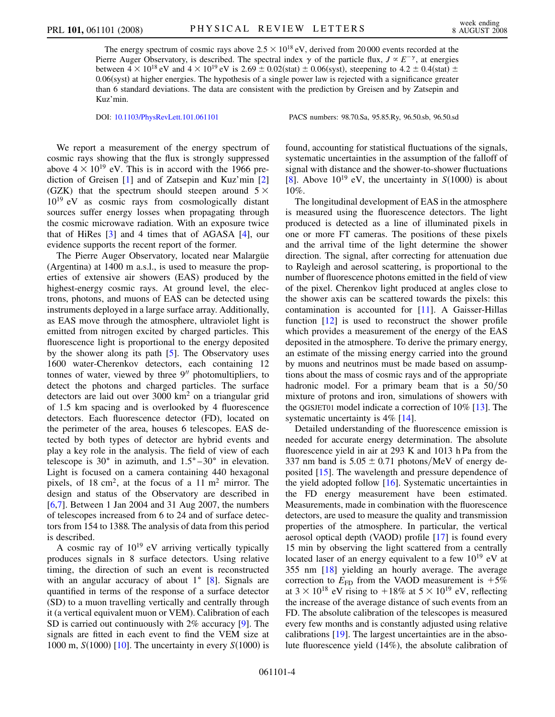The energy spectrum of cosmic rays above  $2.5 \times 10^{18}$  eV, derived from 20 000 events recorded at the Pierre Auger Observatory, is described. The spectral index  $\gamma$  of the particle flux,  $J \propto E^{-\gamma}$ , at energies between  $4 \times 10^{18}$  eV and  $4 \times 10^{19}$  eV is 2.69  $\pm$  0.02(stat)  $\pm$  0.06(syst), steepening to 4.2  $\pm$  0.4(stat)  $\pm$ 0.06(syst) at higher energies. The hypothesis of a single power law is rejected with a significance greater than 6 standard deviations. The data are consistent with the prediction by Greisen and by Zatsepin and Kuz'min.

DOI: [10.1103/PhysRevLett.101.061101](http://dx.doi.org/10.1103/PhysRevLett.101.061101) PACS numbers: 98.70.Sa, 95.85.Ry, 96.50.sb, 96.50.sd

We report a measurement of the energy spectrum of cosmic rays showing that the flux is strongly suppressed above  $4 \times 10^{19}$  eV. This is in accord with the 1966 prediction of Greisen [[1\]](#page-8-0) and of Zatsepin and Kuz'min [\[2\]](#page-8-1) (GZK) that the spectrum should steepen around  $5 \times$  $10^{19}$  eV as cosmic rays from cosmologically distant sources suffer energy losses when propagating through the cosmic microwave radiation. With an exposure twice that of HiRes [[3](#page-9-0)] and 4 times that of AGASA [\[4](#page-9-1)], our evidence supports the recent report of the former.

The Pierre Auger Observatory, located near Malargue (Argentina) at 1400 m a.s.l., is used to measure the properties of extensive air showers (EAS) produced by the highest-energy cosmic rays. At ground level, the electrons, photons, and muons of EAS can be detected using instruments deployed in a large surface array. Additionally, as EAS move through the atmosphere, ultraviolet light is emitted from nitrogen excited by charged particles. This fluorescence light is proportional to the energy deposited by the shower along its path [[5\]](#page-9-2). The Observatory uses 1600 water-Cherenkov detectors, each containing 12 tonnes of water, viewed by three  $9''$  photomultipliers, to detect the photons and charged particles. The surface detectors are laid out over  $3000 \text{ km}^2$  on a triangular grid of 1.5 km spacing and is overlooked by 4 fluorescence detectors. Each fluorescence detector (FD), located on the perimeter of the area, houses 6 telescopes. EAS detected by both types of detector are hybrid events and play a key role in the analysis. The field of view of each telescope is  $30^{\circ}$  in azimuth, and  $1.5^{\circ} - 30^{\circ}$  in elevation. Light is focused on a camera containing 440 hexagonal pixels, of 18 cm<sup>2</sup>, at the focus of a 11 m<sup>2</sup> mirror. The design and status of the Observatory are described in [\[6,](#page-9-3)[7](#page-9-4)]. Between 1 Jan 2004 and 31 Aug 2007, the numbers of telescopes increased from 6 to 24 and of surface detectors from 154 to 1388. The analysis of data from this period is described.

A cosmic ray of  $10^{19}$  eV arriving vertically typically produces signals in 8 surface detectors. Using relative timing, the direction of such an event is reconstructed with an angular accuracy of about  $1^{\circ}$  [[8\]](#page-9-5). Signals are quantified in terms of the response of a surface detector (SD) to a muon travelling vertically and centrally through it (a vertical equivalent muon or VEM). Calibration of each SD is carried out continuously with 2% accuracy [\[9\]](#page-9-6). The signals are fitted in each event to find the VEM size at [10](#page-9-7)00 m,  $S(1000)$  [10]. The uncertainty in every  $S(1000)$  is found, accounting for statistical fluctuations of the signals, systematic uncertainties in the assumption of the falloff of signal with distance and the shower-to-shower fluctuations [\[8\]](#page-9-5). Above  $10^{19}$  eV, the uncertainty in  $S(1000)$  is about 10%.

The longitudinal development of EAS in the atmosphere is measured using the fluorescence detectors. The light produced is detected as a line of illuminated pixels in one or more FT cameras. The positions of these pixels and the arrival time of the light determine the shower direction. The signal, after correcting for attenuation due to Rayleigh and aerosol scattering, is proportional to the number of fluorescence photons emitted in the field of view of the pixel. Cherenkov light produced at angles close to the shower axis can be scattered towards the pixels: this contamination is accounted for [\[11\]](#page-9-8). A Gaisser-Hillas function [[12](#page-9-9)] is used to reconstruct the shower profile which provides a measurement of the energy of the EAS deposited in the atmosphere. To derive the primary energy, an estimate of the missing energy carried into the ground by muons and neutrinos must be made based on assumptions about the mass of cosmic rays and of the appropriate hadronic model. For a primary beam that is a  $50/50$ mixture of protons and iron, simulations of showers with the QGSJET01 model indicate a correction of 10% [[13](#page-9-10)]. The systematic uncertainty is  $4\%$  [\[14](#page-9-11)].

Detailed understanding of the fluorescence emission is needed for accurate energy determination. The absolute fluorescence yield in air at 293 K and 1013 h Pa from the 337 nm band is  $5.05 \pm 0.71$  photons/MeV of energy deposited [[15](#page-9-12)]. The wavelength and pressure dependence of the yield adopted follow [[16](#page-9-13)]. Systematic uncertainties in the FD energy measurement have been estimated. Measurements, made in combination with the fluorescence detectors, are used to measure the quality and transmission properties of the atmosphere. In particular, the vertical aerosol optical depth (VAOD) profile [\[17](#page-9-14)] is found every 15 min by observing the light scattered from a centrally located laser of an energy equivalent to a few  $10^{19}$  eV at 355 nm [\[18\]](#page-9-15) yielding an hourly average. The average correction to  $E_{FD}$  from the VAOD measurement is  $+5\%$ at  $3 \times 10^{18}$  eV rising to  $+18\%$  at  $5 \times 10^{19}$  eV, reflecting the increase of the average distance of such events from an FD. The absolute calibration of the telescopes is measured every few months and is constantly adjusted using relative calibrations [\[19\]](#page-9-16). The largest uncertainties are in the absolute fluorescence yield (14%), the absolute calibration of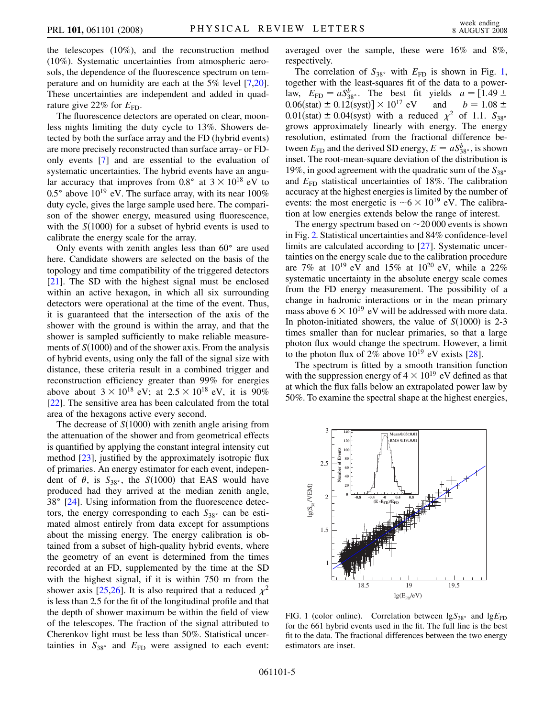the telescopes (10%), and the reconstruction method (10%). Systematic uncertainties from atmospheric aerosols, the dependence of the fluorescence spectrum on temperature and on humidity are each at the 5% level [[7](#page-9-4)[,20\]](#page-9-17). These uncertainties are independent and added in quadrature give 22% for  $E_{\text{FD}}$ .

The fluorescence detectors are operated on clear, moonless nights limiting the duty cycle to 13%. Showers detected by both the surface array and the FD (hybrid events) are more precisely reconstructed than surface array- or FDonly events [[7\]](#page-9-4) and are essential to the evaluation of systematic uncertainties. The hybrid events have an angular accuracy that improves from  $0.8^{\circ}$  at  $3 \times 10^{18}$  eV to 0.5 $^{\circ}$  above 10<sup>19</sup> eV. The surface array, with its near 100% duty cycle, gives the large sample used here. The comparison of the shower energy, measured using fluorescence, with the  $S(1000)$  for a subset of hybrid events is used to calibrate the energy scale for the array.

Only events with zenith angles less than  $60^\circ$  are used here. Candidate showers are selected on the basis of the topology and time compatibility of the triggered detectors [\[21\]](#page-9-18). The SD with the highest signal must be enclosed within an active hexagon, in which all six surrounding detectors were operational at the time of the event. Thus, it is guaranteed that the intersection of the axis of the shower with the ground is within the array, and that the shower is sampled sufficiently to make reliable measurements of  $S(1000)$  and of the shower axis. From the analysis of hybrid events, using only the fall of the signal size with distance, these criteria result in a combined trigger and reconstruction efficiency greater than 99% for energies above about  $3 \times 10^{18}$  eV; at  $2.5 \times 10^{18}$  eV, it is 90% [\[22\]](#page-9-19). The sensitive area has been calculated from the total area of the hexagons active every second.

The decrease of  $S(1000)$  with zenith angle arising from the attenuation of the shower and from geometrical effects is quantified by applying the constant integral intensity cut method [\[23\]](#page-9-20), justified by the approximately isotropic flux of primaries. An energy estimator for each event, independent of  $\theta$ , is  $S_{38^{\circ}}$ , the *S*(1000) that EAS would have produced had they arrived at the median zenith angle,  $38^\circ$  [\[24\]](#page-9-21). Using information from the fluorescence detectors, the energy corresponding to each  $S_{38}$  can be estimated almost entirely from data except for assumptions about the missing energy. The energy calibration is obtained from a subset of high-quality hybrid events, where the geometry of an event is determined from the times recorded at an FD, supplemented by the time at the SD with the highest signal, if it is within 750 m from the shower axis [\[25](#page-9-22)[,26\]](#page-9-23). It is also required that a reduced  $\chi^2$ is less than 2.5 for the fit of the longitudinal profile and that the depth of shower maximum be within the field of view of the telescopes. The fraction of the signal attributed to Cherenkov light must be less than 50%. Statistical uncertainties in  $S_{38}$ <sup>o</sup> and  $E_{FD}$  were assigned to each event: averaged over the sample, these were 16% and 8%, respectively.

The correlation of  $S_{38}$  with  $E_{FD}$  is shown in Fig. [1](#page-7-0), together with the least-squares fit of the data to a powerlaw,  $E_{\text{FD}} = aS_{38}^b$ . The best fit yields  $a = [1.49 \pm 1.49]$  $0.06(stat) \pm 0.12(syst)] \times 10^{17}$  eV and  $b = 1.08 \pm$  $0.01$ (stat)  $\pm 0.04$ (syst) with a reduced  $\chi^2$  of 1.1.  $S_{38}$ grows approximately linearly with energy. The energy resolution, estimated from the fractional difference between  $E_{\text{FD}}$  and the derived SD energy,  $E = aS^b_{38^\circ}$ , is shown inset. The root-mean-square deviation of the distribution is 19%, in good agreement with the quadratic sum of the  $S_{38}$ <sup>3</sup> and  $E_{FD}$  statistical uncertainties of 18%. The calibration accuracy at the highest energies is limited by the number of events: the most energetic is  $\sim 6 \times 10^{19}$  eV. The calibration at low energies extends below the range of interest.

The energy spectrum based on  $\sim$  20 000 events is shown in Fig. [2.](#page-8-2) Statistical uncertainties and 84% confidence-level limits are calculated according to [\[27\]](#page-9-24). Systematic uncertainties on the energy scale due to the calibration procedure are 7% at  $10^{19}$  eV and 15% at  $10^{20}$  eV, while a 22% systematic uncertainty in the absolute energy scale comes from the FD energy measurement. The possibility of a change in hadronic interactions or in the mean primary mass above  $6 \times 10^{19}$  eV will be addressed with more data. In photon-initiated showers, the value of  $S(1000)$  is 2-3 times smaller than for nuclear primaries, so that a large photon flux would change the spectrum. However, a limit to the photon flux of  $2\%$  above  $10^{19}$  eV exists [\[28\]](#page-9-25).

The spectrum is fitted by a smooth transition function with the suppression energy of  $4 \times 10^{19}$  eV defined as that at which the flux falls below an extrapolated power law by 50%. To examine the spectral shape at the highest energies,

<span id="page-7-0"></span>

FIG. 1 (color online). Correlation between  $\lg S_{38}$  and  $\lg E_{FD}$ for the 661 hybrid events used in the fit. The full line is the best fit to the data. The fractional differences between the two energy estimators are inset.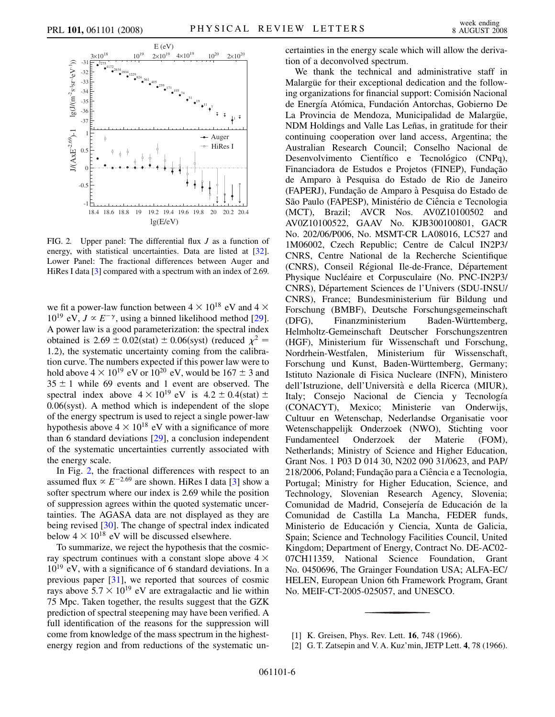<span id="page-8-2"></span>

FIG. 2. Upper panel: The differential flux *J* as a function of energy, with statistical uncertainties. Data are listed at [\[32\]](#page-9-29). Lower Panel: The fractional differences between Auger and HiRes I data [\[3\]](#page-9-0) compared with a spectrum with an index of 2.69.

we fit a power-law function between  $4 \times 10^{18}$  eV and  $4 \times$  $10^{19}$  eV,  $J \propto E^{-\gamma}$ , using a binned likelihood method [[29\]](#page-9-26). A power law is a good parameterization: the spectral index obtained is 2.69  $\pm$  0.02(stat)  $\pm$  0.06(syst) (reduced  $\chi^2$  = 1*:*2), the systematic uncertainty coming from the calibration curve. The numbers expected if this power law were to hold above  $4 \times 10^{19}$  eV or  $10^{20}$  eV, would be  $167 \pm 3$  and  $35 \pm 1$  while 69 events and 1 event are observed. The spectral index above  $4 \times 10^{19}$  eV is  $4.2 \pm 0.4$ (stat)  $\pm$ 0.06(syst). A method which is independent of the slope of the energy spectrum is used to reject a single power-law hypothesis above  $4 \times 10^{18}$  eV with a significance of more than 6 standard deviations [[29](#page-9-26)], a conclusion independent of the systematic uncertainties currently associated with the energy scale.

In Fig. [2,](#page-8-2) the fractional differences with respect to an assumed flux  $\propto E^{-2.69}$  are shown. HiRes I data [\[3](#page-9-0)] show a softer spectrum where our index is 2.69 while the position of suppression agrees within the quoted systematic uncertainties. The AGASA data are not displayed as they are being revised [\[30\]](#page-9-27). The change of spectral index indicated below  $4 \times 10^{18}$  eV will be discussed elsewhere.

To summarize, we reject the hypothesis that the cosmicray spectrum continues with a constant slope above  $4 \times$  $10^{19}$  eV, with a significance of 6 standard deviations. In a previous paper [[31](#page-9-28)], we reported that sources of cosmic rays above  $5.7 \times 10^{19}$  eV are extragalactic and lie within 75 Mpc. Taken together, the results suggest that the GZK prediction of spectral steepening may have been verified. A full identification of the reasons for the suppression will come from knowledge of the mass spectrum in the highestenergy region and from reductions of the systematic uncertainties in the energy scale which will allow the derivation of a deconvolved spectrum.

We thank the technical and administrative staff in Malargüe for their exceptional dedication and the following organizations for financial support: Comisión Nacional de Energía Atómica, Fundación Antorchas, Gobierno De La Provincia de Mendoza, Municipalidad de Malargüe, NDM Holdings and Valle Las Leñas, in gratitude for their continuing cooperation over land access, Argentina; the Australian Research Council; Conselho Nacional de Desenvolvimento Científico e Tecnológico (CNPq), Financiadora de Estudos e Projetos (FINEP), Fundação de Amparo a` Pesquisa do Estado de Rio de Janeiro (FAPERJ), Fundação de Amparo à Pesquisa do Estado de São Paulo (FAPESP), Ministério de Ciência e Tecnologia (MCT), Brazil; AVCR Nos. AV0Z10100502 and AV0Z10100522, GAAV No. KJB300100801, GACR No. 202/06/P006, No. MSMT-CR LA08016, LC527 and 1M06002, Czech Republic; Centre de Calcul IN2P3/ CNRS, Centre National de la Recherche Scientifique (CNRS), Conseil Régional Ile-de-France, Département Physique Nucléaire et Corpusculaire (No. PNC-IN2P3/ CNRS), Département Sciences de l'Univers (SDU-INSU/ CNRS), France; Bundesministerium für Bildung und Forschung (BMBF), Deutsche Forschungsgemeinschaft (DFG), Finanzministerium Baden-Württemberg, Helmholtz-Gemeinschaft Deutscher Forschungszentren (HGF), Ministerium für Wissenschaft und Forschung, Nordrhein-Westfalen, Ministerium für Wissenschaft, Forschung und Kunst, Baden-Württemberg, Germany; Istituto Nazionale di Fisica Nucleare (INFN), Ministero dell'Istruzione, dell'Università e della Ricerca (MIUR), Italy; Consejo Nacional de Ciencia y Tecnología (CONACYT), Mexico; Ministerie van Onderwijs, Cultuur en Wetenschap, Nederlandse Organisatie voor Wetenschappelijk Onderzoek (NWO), Stichting voor Fundamenteel Onderzoek der Materie (FOM), Netherlands; Ministry of Science and Higher Education, Grant Nos. 1 P03 D 014 30, N202 090 31/0623, and PAP/ 218/2006, Poland; Fundação para a Ciência e a Tecnologia, Portugal; Ministry for Higher Education, Science, and Technology, Slovenian Research Agency, Slovenia; Comunidad de Madrid, Consejería de Educación de la Comunidad de Castilla La Mancha, FEDER funds, Ministerio de Educación y Ciencia, Xunta de Galicia, Spain; Science and Technology Facilities Council, United Kingdom; Department of Energy, Contract No. DE-AC02- 07CH11359, National Science Foundation, Grant No. 0450696, The Grainger Foundation USA; ALFA-EC/ HELEN, European Union 6th Framework Program, Grant No. MEIF-CT-2005-025057, and UNESCO.

[2] G. T. Zatsepin and V. A. Kuz'min, JETP Lett. **4**, 78 (1966).

<span id="page-8-1"></span><span id="page-8-0"></span><sup>[1]</sup> K. Greisen, Phys. Rev. Lett. **16**, 748 (1966).